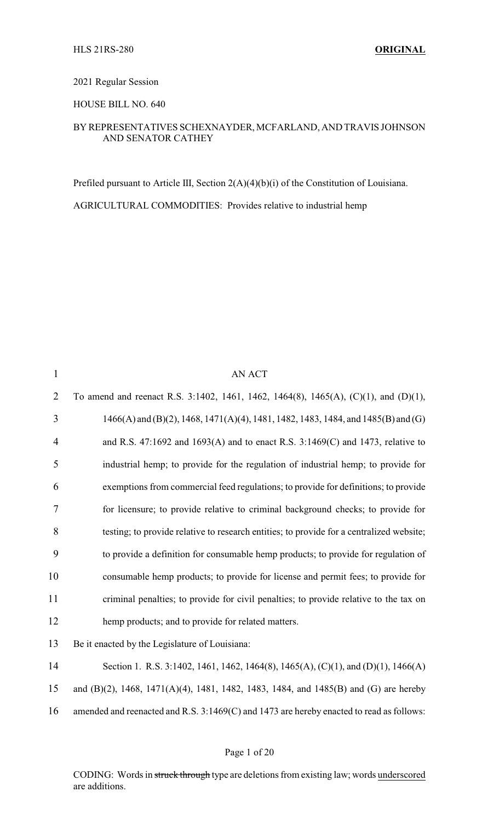2021 Regular Session

HOUSE BILL NO. 640

#### BY REPRESENTATIVES SCHEXNAYDER, MCFARLAND, AND TRAVIS JOHNSON AND SENATOR CATHEY

Prefiled pursuant to Article III, Section 2(A)(4)(b)(i) of the Constitution of Louisiana. AGRICULTURAL COMMODITIES: Provides relative to industrial hemp

| $\mathbf{1}$   | <b>AN ACT</b>                                                                            |
|----------------|------------------------------------------------------------------------------------------|
| $\overline{2}$ | To amend and reenact R.S. 3:1402, 1461, 1462, 1464(8), 1465(A), (C)(1), and (D)(1),      |
| 3              | $1466(A)$ and (B)(2), 1468, 1471(A)(4), 1481, 1482, 1483, 1484, and 1485(B) and (G)      |
| 4              | and R.S. 47:1692 and 1693(A) and to enact R.S. 3:1469(C) and 1473, relative to           |
| 5              | industrial hemp; to provide for the regulation of industrial hemp; to provide for        |
| 6              | exemptions from commercial feed regulations; to provide for definitions; to provide      |
| 7              | for licensure; to provide relative to criminal background checks; to provide for         |
| 8              | testing; to provide relative to research entities; to provide for a centralized website; |
| 9              | to provide a definition for consumable hemp products; to provide for regulation of       |
| 10             | consumable hemp products; to provide for license and permit fees; to provide for         |
| 11             | criminal penalties; to provide for civil penalties; to provide relative to the tax on    |
| 12             | hemp products; and to provide for related matters.                                       |
| 13             | Be it enacted by the Legislature of Louisiana:                                           |
| 14             | Section 1. R.S. 3:1402, 1461, 1462, 1464(8), 1465(A), (C)(1), and (D)(1), 1466(A)        |
| 15             | and (B)(2), 1468, 1471(A)(4), 1481, 1482, 1483, 1484, and 1485(B) and (G) are hereby     |
| 16             | amended and reenacted and R.S. 3:1469(C) and 1473 are hereby enacted to read as follows: |
|                |                                                                                          |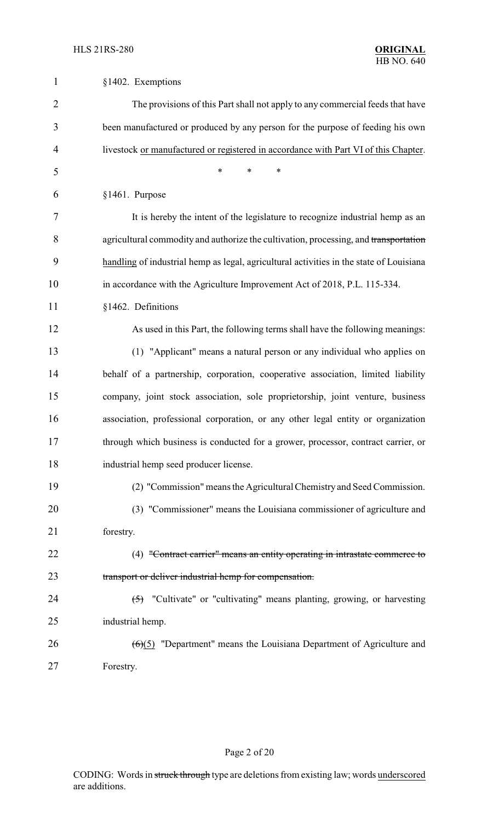| $\mathbf{1}$   | §1402. Exemptions                                                                       |
|----------------|-----------------------------------------------------------------------------------------|
| $\overline{2}$ | The provisions of this Part shall not apply to any commercial feeds that have           |
| 3              | been manufactured or produced by any person for the purpose of feeding his own          |
| 4              | livestock or manufactured or registered in accordance with Part VI of this Chapter.     |
| 5              | $\ast$<br>*<br>$\ast$                                                                   |
| 6              | §1461. Purpose                                                                          |
| 7              | It is hereby the intent of the legislature to recognize industrial hemp as an           |
| 8              | agricultural commodity and authorize the cultivation, processing, and transportation    |
| 9              | handling of industrial hemp as legal, agricultural activities in the state of Louisiana |
| 10             | in accordance with the Agriculture Improvement Act of 2018, P.L. 115-334.               |
| 11             | §1462. Definitions                                                                      |
| 12             | As used in this Part, the following terms shall have the following meanings:            |
| 13             | (1) "Applicant" means a natural person or any individual who applies on                 |
| 14             | behalf of a partnership, corporation, cooperative association, limited liability        |
| 15             | company, joint stock association, sole proprietorship, joint venture, business          |
| 16             | association, professional corporation, or any other legal entity or organization        |
| 17             | through which business is conducted for a grower, processor, contract carrier, or       |
| 18             | industrial hemp seed producer license.                                                  |
| 19             | (2) "Commission" means the Agricultural Chemistry and Seed Commission.                  |
| 20             | (3) "Commissioner" means the Louisiana commissioner of agriculture and                  |
| 21             | forestry.                                                                               |
| 22             | (4) "Contract carrier" means an entity operating in intrastate commerce to              |
| 23             | transport or deliver industrial hemp for compensation.                                  |
| 24             | $\overline{(5)}$ "Cultivate" or "cultivating" means planting, growing, or harvesting    |
| 25             | industrial hemp.                                                                        |
| 26             | $(6)(5)$ "Department" means the Louisiana Department of Agriculture and                 |
| 27             | Forestry.                                                                               |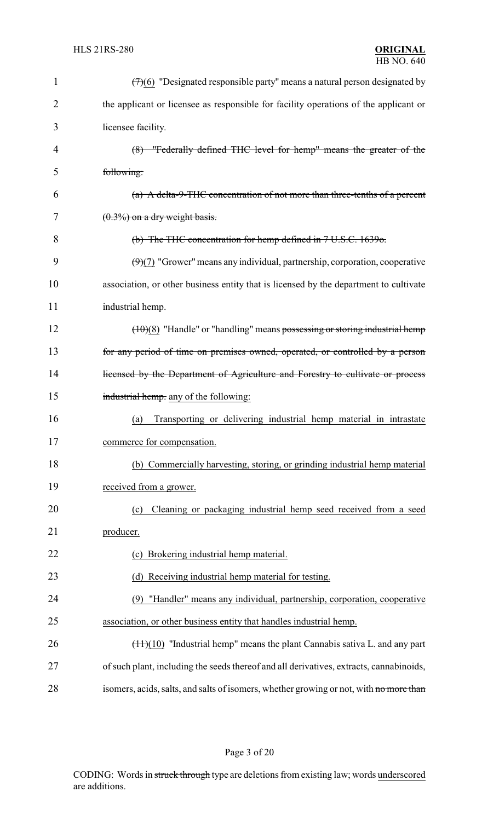| 1              | $(7)(6)$ "Designated responsible party" means a natural person designated by            |
|----------------|-----------------------------------------------------------------------------------------|
| $\overline{2}$ | the applicant or licensee as responsible for facility operations of the applicant or    |
| 3              | licensee facility.                                                                      |
| 4              | (8) "Federally defined THC level for hemp" means the greater of the                     |
| 5              | following:                                                                              |
| 6              | $(a)$ A delta-9-THC concentration of not more than three-tenths of a percent            |
| 7              | $(0.3\%)$ on a dry weight basis.                                                        |
| 8              | (b) The THC concentration for hemp defined in 7 U.S.C. 1639o.                           |
| 9              | $(9)(7)$ "Grower" means any individual, partnership, corporation, cooperative           |
| 10             | association, or other business entity that is licensed by the department to cultivate   |
| 11             | industrial hemp.                                                                        |
| 12             | $(10)(8)$ "Handle" or "handling" means possessing or storing industrial hemp            |
| 13             | for any period of time on premises owned, operated, or controlled by a person           |
| 14             | licensed by the Department of Agriculture and Forestry to cultivate or process          |
| 15             | industrial hemp. any of the following:                                                  |
| 16             | Transporting or delivering industrial hemp material in intrastate<br>(a)                |
| 17             | commerce for compensation.                                                              |
| 18             | (b) Commercially harvesting, storing, or grinding industrial hemp material              |
| 19             | received from a grower.                                                                 |
| 20             | Cleaning or packaging industrial hemp seed received from a seed<br>(c)                  |
| 21             | producer.                                                                               |
| 22             | Brokering industrial hemp material.<br>(c)                                              |
| 23             | (d) Receiving industrial hemp material for testing.                                     |
| 24             | "Handler" means any individual, partnership, corporation, cooperative<br>(9)            |
| 25             | association, or other business entity that handles industrial hemp.                     |
| 26             | $(\pm 1)(10)$ "Industrial hemp" means the plant Cannabis sativa L. and any part         |
| 27             | of such plant, including the seeds thereof and all derivatives, extracts, cannabinoids, |
| 28             | isomers, acids, salts, and salts of isomers, whether growing or not, with no more than  |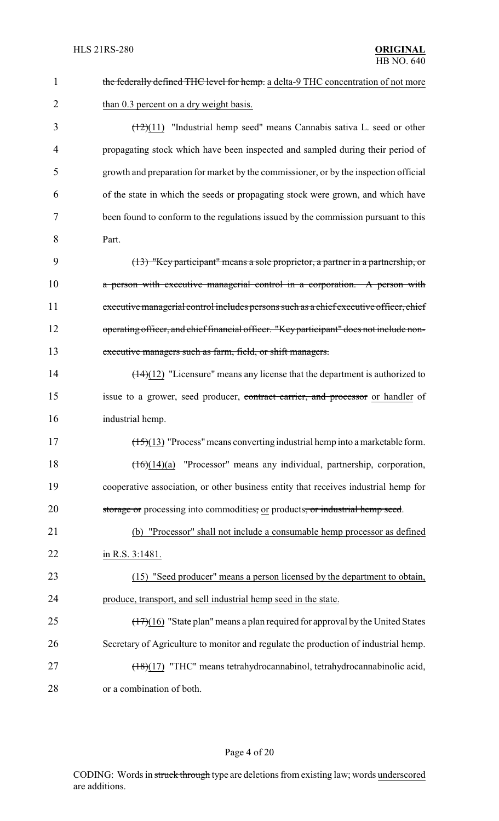| $\mathbf{1}$   | the federally defined THC level for hemp. a delta-9 THC concentration of not more               |
|----------------|-------------------------------------------------------------------------------------------------|
| $\overline{2}$ | than 0.3 percent on a dry weight basis.                                                         |
| 3              | $(\frac{12}{11})$ "Industrial hemp seed" means Cannabis sativa L. seed or other                 |
| 4              | propagating stock which have been inspected and sampled during their period of                  |
| 5              | growth and preparation for market by the commissioner, or by the inspection official            |
| 6              | of the state in which the seeds or propagating stock were grown, and which have                 |
| 7              | been found to conform to the regulations issued by the commission pursuant to this              |
| 8              | Part.                                                                                           |
| 9              | (13) "Key participant" means a sole proprietor, a partner in a partnership, or                  |
| 10             | a person with executive managerial control in a corporation. A person with                      |
| 11             | executive managerial control includes persons such as a chief executive officer, chief          |
| 12             | operating officer, and chief financial officer. "Key participant" does not include non-         |
| 13             | executive managers such as farm, field, or shift managers.                                      |
| 14             | $\left(\frac{14}{12}\right)$ "Licensure" means any license that the department is authorized to |
| 15             | issue to a grower, seed producer, contract carrier, and processor or handler of                 |
| 16             | industrial hemp.                                                                                |
| 17             | $(\frac{15}{13})$ "Process" means converting industrial hemp into a marketable form.            |
| 18             | $(16)(14)(a)$ "Processor" means any individual, partnership, corporation,                       |
| 19             | cooperative association, or other business entity that receives industrial hemp for             |
| 20             | storage or processing into commodities, or products, or industrial hemp seed.                   |
| 21             | (b) "Processor" shall not include a consumable hemp processor as defined                        |
| 22             | in R.S. 3:1481.                                                                                 |
| 23             | (15) "Seed producer" means a person licensed by the department to obtain,                       |
| 24             | produce, transport, and sell industrial hemp seed in the state.                                 |
| 25             | $(17)(16)$ "State plan" means a plan required for approval by the United States                 |
| 26             | Secretary of Agriculture to monitor and regulate the production of industrial hemp.             |
| 27             | (18)(17) "THC" means tetrahydrocannabinol, tetrahydrocannabinolic acid,                         |
| 28             | or a combination of both.                                                                       |

# Page 4 of 20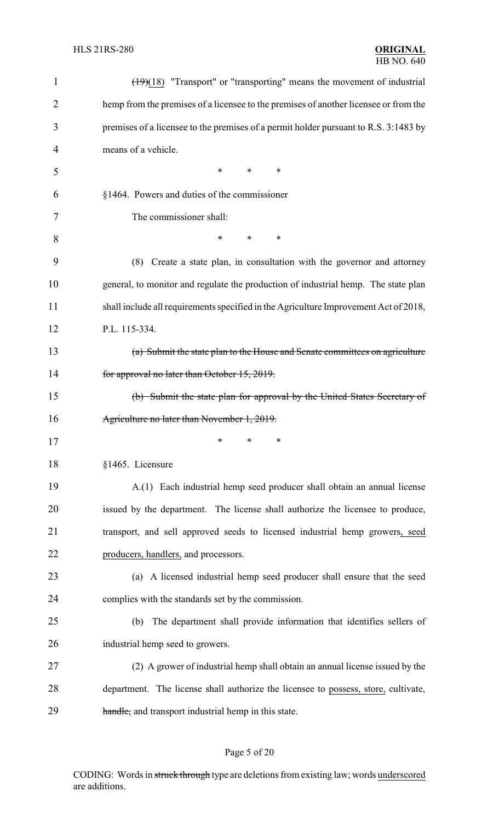| 1              | $\left(\frac{19}{18}\right)$ "Transport" or "transporting" means the movement of industrial |
|----------------|---------------------------------------------------------------------------------------------|
| $\overline{2}$ | hemp from the premises of a licensee to the premises of another licensee or from the        |
| 3              | premises of a licensee to the premises of a permit holder pursuant to R.S. 3:1483 by        |
| 4              | means of a vehicle.                                                                         |
| 5              | $\ast$<br>*<br>∗                                                                            |
| 6              | §1464. Powers and duties of the commissioner                                                |
| 7              | The commissioner shall:                                                                     |
| 8              | $\ast$<br>∗<br>$\ast$                                                                       |
| 9              | (8)<br>Create a state plan, in consultation with the governor and attorney                  |
| 10             | general, to monitor and regulate the production of industrial hemp. The state plan          |
| 11             | shall include all requirements specified in the Agriculture Improvement Act of 2018,        |
| 12             | P.L. 115-334.                                                                               |
| 13             | (a) Submit the state plan to the House and Senate committees on agriculture                 |
| 14             | for approval no later than October 15, 2019.                                                |
| 15             | (b) Submit the state plan for approval by the United States Secretary of                    |
| 16             | Agriculture no later than November 1, 2019.                                                 |
| 17             | ∗<br>∗<br>∗                                                                                 |
| 18             | §1465. Licensure                                                                            |
| 19             | A.(1) Each industrial hemp seed producer shall obtain an annual license                     |
| 20             | issued by the department. The license shall authorize the licensee to produce,              |
| 21             | transport, and sell approved seeds to licensed industrial hemp growers, seed                |
| 22             | producers, handlers, and processors.                                                        |
| 23             | (a) A licensed industrial hemp seed producer shall ensure that the seed                     |
| 24             | complies with the standards set by the commission.                                          |
| 25             | The department shall provide information that identifies sellers of<br>(b)                  |
| 26             | industrial hemp seed to growers.                                                            |
| 27             | (2) A grower of industrial hemp shall obtain an annual license issued by the                |
| 28             | department. The license shall authorize the licensee to possess, store, cultivate,          |
| 29             | handle, and transport industrial hemp in this state.                                        |

# Page 5 of 20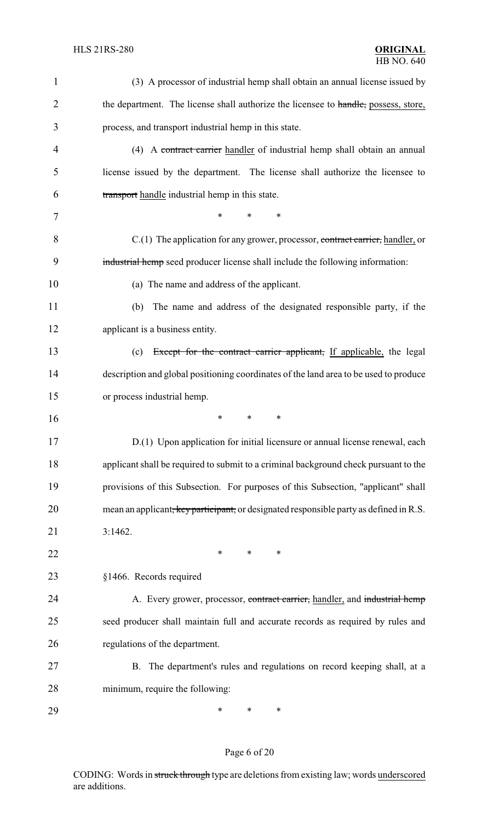| $\mathbf{1}$   | (3) A processor of industrial hemp shall obtain an annual license issued by            |
|----------------|----------------------------------------------------------------------------------------|
| $\overline{2}$ | the department. The license shall authorize the licensee to handle, possess, store,    |
| 3              | process, and transport industrial hemp in this state.                                  |
| 4              | (4) A contract carrier handler of industrial hemp shall obtain an annual               |
| 5              | license issued by the department. The license shall authorize the licensee to          |
| 6              | transport handle industrial hemp in this state.                                        |
| 7              | *<br>*<br>*                                                                            |
| 8              | C.(1) The application for any grower, processor, contract carrier, handler, or         |
| 9              | industrial hemp seed producer license shall include the following information:         |
| 10             | (a) The name and address of the applicant.                                             |
| 11             | The name and address of the designated responsible party, if the<br>(b)                |
| 12             | applicant is a business entity.                                                        |
| 13             | Except for the contract carrier applicant, If applicable, the legal<br>(c)             |
| 14             | description and global positioning coordinates of the land area to be used to produce  |
| 15             | or process industrial hemp.                                                            |
| 16             | *<br>$\ast$<br>$\ast$                                                                  |
| 17             | D.(1) Upon application for initial licensure or annual license renewal, each           |
| 18             | applicant shall be required to submit to a criminal background check pursuant to the   |
| 19             | provisions of this Subsection. For purposes of this Subsection, "applicant" shall      |
| 20             | mean an applicant, key participant, or designated responsible party as defined in R.S. |
| 21             | 3:1462.                                                                                |
| 22             | ∗<br>$\ast$<br>∗                                                                       |
| 23             | §1466. Records required                                                                |
| 24             | A. Every grower, processor, contract carrier, handler, and industrial hemp             |
| 25             | seed producer shall maintain full and accurate records as required by rules and        |
| 26             | regulations of the department.                                                         |
| 27             | B. The department's rules and regulations on record keeping shall, at a                |
| 28             | minimum, require the following:                                                        |
| 29             | ∗<br>∗<br>∗                                                                            |

# Page 6 of 20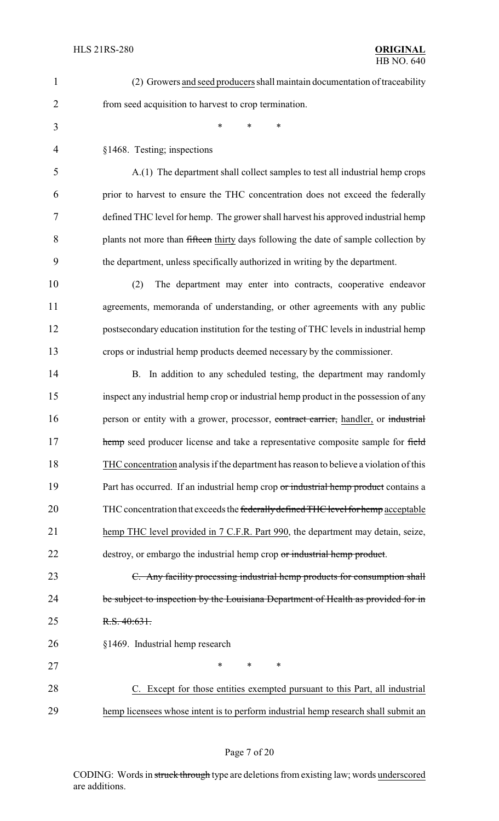| 1  | (2) Growers and seed producers shall maintain documentation of traceability            |
|----|----------------------------------------------------------------------------------------|
| 2  | from seed acquisition to harvest to crop termination.                                  |
| 3  | $\ast$<br>$\ast$<br>$\ast$                                                             |
| 4  | §1468. Testing; inspections                                                            |
| 5  | A.(1) The department shall collect samples to test all industrial hemp crops           |
| 6  | prior to harvest to ensure the THC concentration does not exceed the federally         |
| 7  | defined THC level for hemp. The grower shall harvest his approved industrial hemp      |
| 8  | plants not more than fifteen thirty days following the date of sample collection by    |
| 9  | the department, unless specifically authorized in writing by the department.           |
| 10 | The department may enter into contracts, cooperative endeavor<br>(2)                   |
| 11 | agreements, memoranda of understanding, or other agreements with any public            |
| 12 | postsecondary education institution for the testing of THC levels in industrial hemp   |
| 13 | crops or industrial hemp products deemed necessary by the commissioner.                |
| 14 | B. In addition to any scheduled testing, the department may randomly                   |
| 15 | inspect any industrial hemp crop or industrial hemp product in the possession of any   |
| 16 | person or entity with a grower, processor, contract carrier, handler, or industrial    |
| 17 | hemp seed producer license and take a representative composite sample for field        |
| 18 | THC concentration analysis if the department has reason to believe a violation of this |
| 19 | Part has occurred. If an industrial hemp crop or industrial hemp product contains a    |
| 20 | THC concentration that exceeds the federally defined THC level for hemp acceptable     |
| 21 | hemp THC level provided in 7 C.F.R. Part 990, the department may detain, seize,        |
| 22 | destroy, or embargo the industrial hemp crop or industrial hemp product.               |
| 23 | C. Any facility processing industrial hemp products for consumption shall              |
| 24 | be subject to inspection by the Louisiana Department of Health as provided for in      |
| 25 | R.S. 40:631.                                                                           |
| 26 | §1469. Industrial hemp research                                                        |
| 27 | $\ast$<br>*<br>$\ast$                                                                  |
| 28 | Except for those entities exempted pursuant to this Part, all industrial               |
| 29 | hemp licensees whose intent is to perform industrial hemp research shall submit an     |

# Page 7 of 20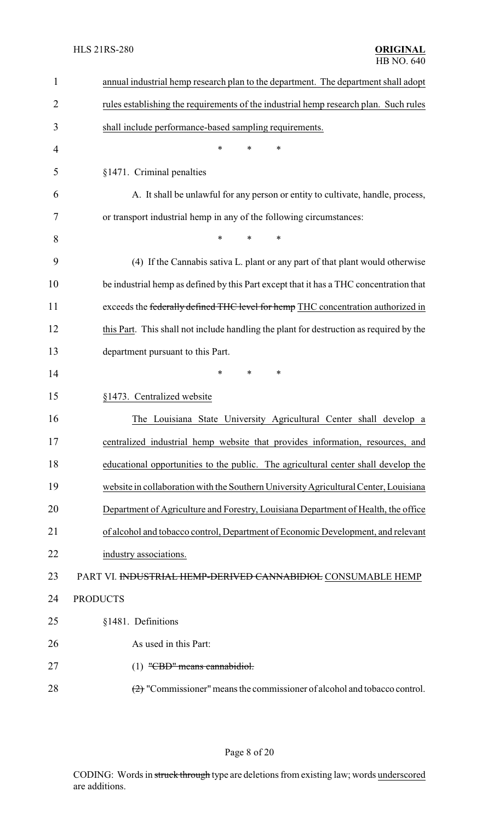| $\mathbf{1}$   | annual industrial hemp research plan to the department. The department shall adopt      |
|----------------|-----------------------------------------------------------------------------------------|
| $\overline{2}$ | rules establishing the requirements of the industrial hemp research plan. Such rules    |
| 3              | shall include performance-based sampling requirements.                                  |
| 4              | *<br>*<br>*                                                                             |
| 5              | §1471. Criminal penalties                                                               |
| 6              | A. It shall be unlawful for any person or entity to cultivate, handle, process,         |
| 7              | or transport industrial hemp in any of the following circumstances:                     |
| 8              | $\ast$<br>*                                                                             |
| 9              | (4) If the Cannabis sativa L. plant or any part of that plant would otherwise           |
| 10             | be industrial hemp as defined by this Part except that it has a THC concentration that  |
| 11             | exceeds the federally defined THC level for hemp THC concentration authorized in        |
| 12             | this Part. This shall not include handling the plant for destruction as required by the |
| 13             | department pursuant to this Part.                                                       |
| 14             | *<br>∗<br>∗                                                                             |
| 15             | §1473. Centralized website                                                              |
| 16             | The Louisiana State University Agricultural Center shall develop a                      |
| 17             | centralized industrial hemp website that provides information, resources, and           |
| 18             | educational opportunities to the public. The agricultural center shall develop the      |
| 19             | website in collaboration with the Southern University Agricultural Center, Louisiana    |
| 20             | Department of Agriculture and Forestry, Louisiana Department of Health, the office      |
| 21             | of alcohol and tobacco control, Department of Economic Development, and relevant        |
| 22             | industry associations.                                                                  |
| 23             | PART VI. INDUSTRIAL HEMP-DERIVED CANNABIDIOL CONSUMABLE HEMP                            |
| 24             | <b>PRODUCTS</b>                                                                         |
| 25             | §1481. Definitions                                                                      |
| 26             | As used in this Part:                                                                   |
| 27             | (1) "CBD" means cannabidiol.                                                            |
| 28             | $\left(2\right)$ "Commissioner" means the commissioner of alcohol and tobacco control.  |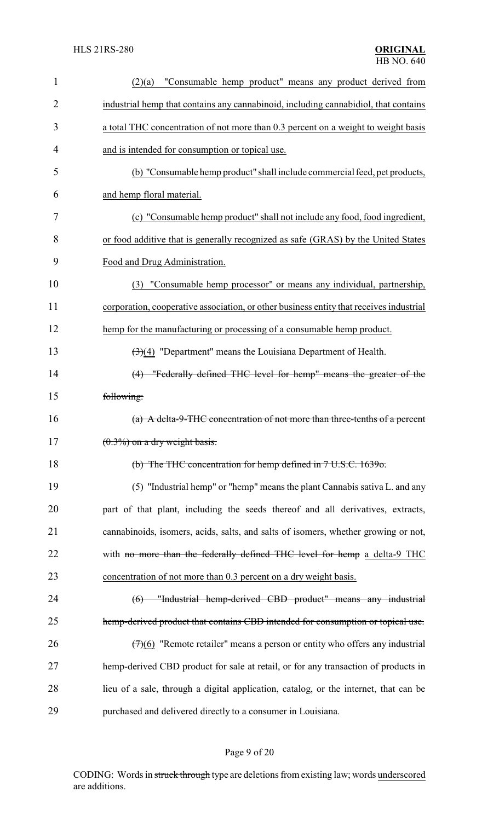| $\mathbf{1}$   | "Consumable hemp product" means any product derived from<br>(2)(a)                      |
|----------------|-----------------------------------------------------------------------------------------|
| $\overline{2}$ | industrial hemp that contains any cannabinoid, including cannabidiol, that contains     |
| 3              | a total THC concentration of not more than 0.3 percent on a weight to weight basis      |
| 4              | and is intended for consumption or topical use.                                         |
| 5              | (b) "Consumable hemp product" shall include commercial feed, pet products,              |
| 6              | and hemp floral material.                                                               |
| 7              | (c) "Consumable hemp product" shall not include any food, food ingredient,              |
| 8              | or food additive that is generally recognized as safe (GRAS) by the United States       |
| 9              | Food and Drug Administration.                                                           |
| 10             | (3) "Consumable hemp processor" or means any individual, partnership,                   |
| 11             | corporation, cooperative association, or other business entity that receives industrial |
| 12             | hemp for the manufacturing or processing of a consumable hemp product.                  |
| 13             | $\left(\frac{3}{4}\right)$ "Department" means the Louisiana Department of Health.       |
| 14             | (4) "Federally defined THC level for hemp" means the greater of the                     |
| 15             | following:                                                                              |
| 16             | (a) A delta-9-THC concentration of not more than three-tenths of a percent              |
| 17             | $(0.3\%)$ on a dry weight basis.                                                        |
| 18             | (b) The THC concentration for hemp defined in 7 U.S.C. 1639o.                           |
| 19             | (5) "Industrial hemp" or "hemp" means the plant Cannabis sativa L. and any              |
| 20             | part of that plant, including the seeds thereof and all derivatives, extracts,          |
| 21             | cannabinoids, isomers, acids, salts, and salts of isomers, whether growing or not,      |
| 22             | with no more than the federally defined THC level for hemp a delta-9 THC                |
| 23             | concentration of not more than 0.3 percent on a dry weight basis.                       |
| 24             | "Industrial hemp-derived CBD product" means any industrial<br>$6$                       |
| 25             | hemp-derived product that contains CBD intended for consumption or topical use.         |
| 26             | $(7)(6)$ "Remote retailer" means a person or entity who offers any industrial           |
| 27             | hemp-derived CBD product for sale at retail, or for any transaction of products in      |
| 28             | lieu of a sale, through a digital application, catalog, or the internet, that can be    |
| 29             | purchased and delivered directly to a consumer in Louisiana.                            |

# Page 9 of 20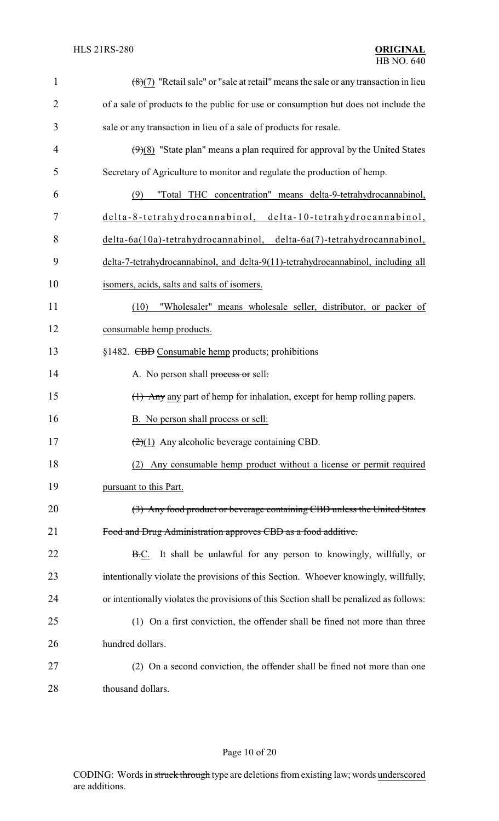| $\mathbf{1}$   | $(8)(7)$ "Retail sale" or "sale at retail" means the sale or any transaction in lieu    |
|----------------|-----------------------------------------------------------------------------------------|
| $\overline{2}$ | of a sale of products to the public for use or consumption but does not include the     |
| 3              | sale or any transaction in lieu of a sale of products for resale.                       |
| 4              | $(9)(8)$ "State plan" means a plan required for approval by the United States           |
| 5              | Secretary of Agriculture to monitor and regulate the production of hemp.                |
| 6              | "Total THC concentration" means delta-9-tetrahydrocannabinol,<br>(9)                    |
| 7              | delta-8-tetrahydrocannabinol, delta-10-tetrahydrocannabinol,                            |
| 8              | delta-6a(10a)-tetrahydrocannabinol, delta-6a(7)-tetrahydrocannabinol,                   |
| 9              | delta-7-tetrahydrocannabinol, and delta-9(11)-tetrahydrocannabinol, including all       |
| 10             | isomers, acids, salts and salts of isomers.                                             |
| 11             | "Wholesaler" means wholesale seller, distributor, or packer of<br>(10)                  |
| 12             | consumable hemp products.                                                               |
| 13             | §1482. CBD Consumable hemp products; prohibitions                                       |
| 14             | A. No person shall process or sell:                                                     |
| 15             | (1) Any any part of hemp for inhalation, except for hemp rolling papers.                |
| 16             | B. No person shall process or sell:                                                     |
| 17             | $\left(\frac{2}{1}\right)$ Any alcoholic beverage containing CBD.                       |
| 18             | Any consumable hemp product without a license or permit required<br>(2)                 |
| 19             | pursuant to this Part.                                                                  |
| 20             | (3) Any food product or beverage containing CBD unless the United States                |
| 21             | Food and Drug Administration approves CBD as a food additive.                           |
| 22             | <b>B.C.</b> It shall be unlawful for any person to knowingly, willfully, or             |
| 23             | intentionally violate the provisions of this Section. Whoever knowingly, willfully,     |
| 24             | or intentionally violates the provisions of this Section shall be penalized as follows: |
| 25             | (1) On a first conviction, the offender shall be fined not more than three              |
| 26             | hundred dollars.                                                                        |
| 27             | (2) On a second conviction, the offender shall be fined not more than one               |
| 28             | thousand dollars.                                                                       |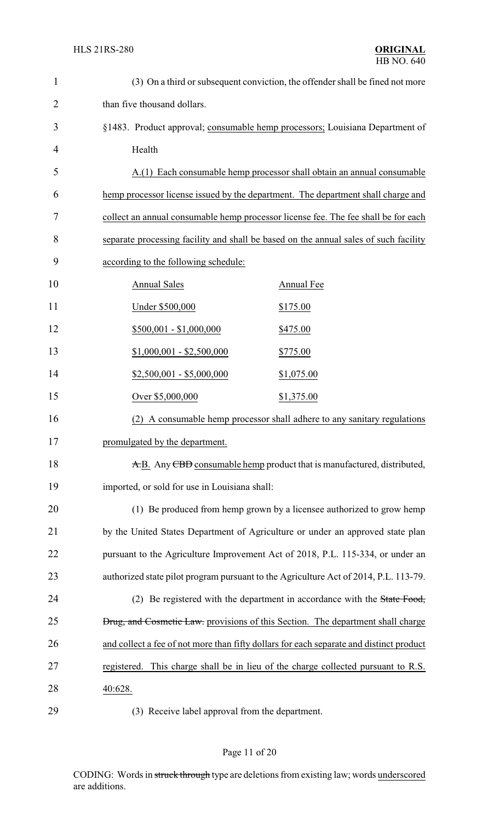| $\mathbf{1}$   | (3) On a third or subsequent conviction, the offender shall be fined not more           |
|----------------|-----------------------------------------------------------------------------------------|
| $\overline{2}$ | than five thousand dollars.                                                             |
| 3              | §1483. Product approval; consumable hemp processors; Louisiana Department of            |
| 4              | Health                                                                                  |
| 5              | A.(1) Each consumable hemp processor shall obtain an annual consumable                  |
| 6              | hemp processor license issued by the department. The department shall charge and        |
| 7              | collect an annual consumable hemp processor license fee. The fee shall be for each      |
| 8              | separate processing facility and shall be based on the annual sales of such facility    |
| 9              | according to the following schedule:                                                    |
| 10             | <b>Annual Sales</b><br>Annual Fee                                                       |
| 11             | Under \$500,000<br>\$175.00                                                             |
| 12             | $$500,001 - $1,000,000$<br>\$475.00                                                     |
| 13             | $$1,000,001 - $2,500,000$<br><u>\$775.00</u>                                            |
| 14             | $$2,500,001 - $5,000,000$<br>\$1,075.00                                                 |
| 15             | Over \$5,000,000<br>\$1,375.00                                                          |
| 16             | (2) A consumable hemp processor shall adhere to any sanitary regulations                |
| 17             | promulgated by the department.                                                          |
| 18             | A.B. Any CBD consumable hemp product that is manufactured, distributed,                 |
| 19             | imported, or sold for use in Louisiana shall:                                           |
| 20             | (1) Be produced from hemp grown by a licensee authorized to grow hemp                   |
| 21             | by the United States Department of Agriculture or under an approved state plan          |
| 22             | pursuant to the Agriculture Improvement Act of 2018, P.L. 115-334, or under an          |
| 23             | authorized state pilot program pursuant to the Agriculture Act of 2014, P.L. 113-79.    |
| 24             | (2) Be registered with the department in accordance with the State Food,                |
| 25             | <b>Drug, and Cosmetic Law.</b> provisions of this Section. The department shall charge  |
| 26             | and collect a fee of not more than fifty dollars for each separate and distinct product |
| 27             | This charge shall be in lieu of the charge collected pursuant to R.S.<br>registered.    |
| 28             | 40:628.                                                                                 |
| 29             | (3) Receive label approval from the department.                                         |

# Page 11 of 20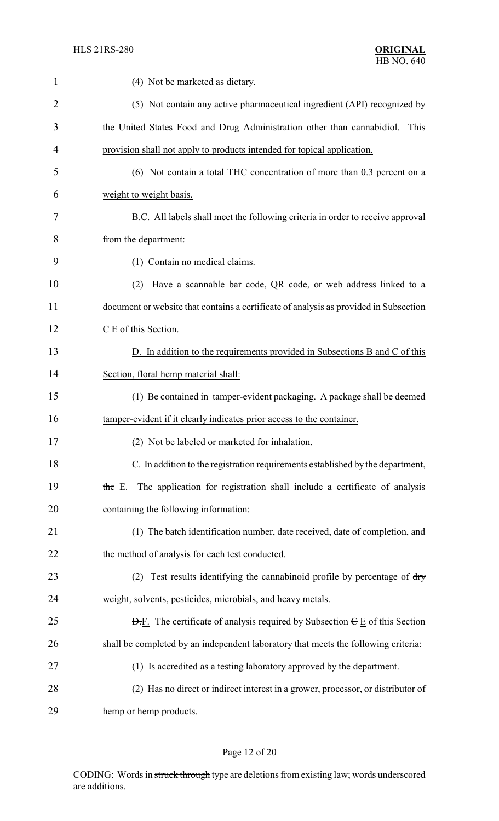| $\mathbf{1}$   | (4) Not be marketed as dietary.                                                                      |
|----------------|------------------------------------------------------------------------------------------------------|
| $\overline{2}$ | (5) Not contain any active pharmaceutical ingredient (API) recognized by                             |
| 3              | the United States Food and Drug Administration other than cannabidiol.<br>This                       |
| 4              | provision shall not apply to products intended for topical application.                              |
| 5              | (6) Not contain a total THC concentration of more than 0.3 percent on a                              |
| 6              | weight to weight basis.                                                                              |
| 7              | B.C. All labels shall meet the following criteria in order to receive approval                       |
| 8              | from the department:                                                                                 |
| 9              | (1) Contain no medical claims.                                                                       |
| 10             | Have a scannable bar code, QR code, or web address linked to a<br>(2)                                |
| 11             | document or website that contains a certificate of analysis as provided in Subsection                |
| 12             | $E$ E of this Section.                                                                               |
| 13             | D. In addition to the requirements provided in Subsections B and C of this                           |
| 14             | Section, floral hemp material shall:                                                                 |
| 15             | (1) Be contained in tamper-evident packaging. A package shall be deemed                              |
| 16             | tamper-evident if it clearly indicates prior access to the container.                                |
| 17             | (2) Not be labeled or marketed for inhalation.                                                       |
| 18             | C. In addition to the registration requirements established by the department,                       |
| 19             | the E. The application for registration shall include a certificate of analysis                      |
| 20             | containing the following information:                                                                |
| 21             | (1) The batch identification number, date received, date of completion, and                          |
| 22             | the method of analysis for each test conducted.                                                      |
| 23             | (2) Test results identifying the cannabinoid profile by percentage of $\frac{dy}{dx}$                |
| 24             | weight, solvents, pesticides, microbials, and heavy metals.                                          |
| 25             | $\overline{D}$ . The certificate of analysis required by Subsection $\overline{E}$ E of this Section |
| 26             | shall be completed by an independent laboratory that meets the following criteria:                   |
| 27             | (1) Is accredited as a testing laboratory approved by the department.                                |
| 28             | (2) Has no direct or indirect interest in a grower, processor, or distributor of                     |
| 29             | hemp or hemp products.                                                                               |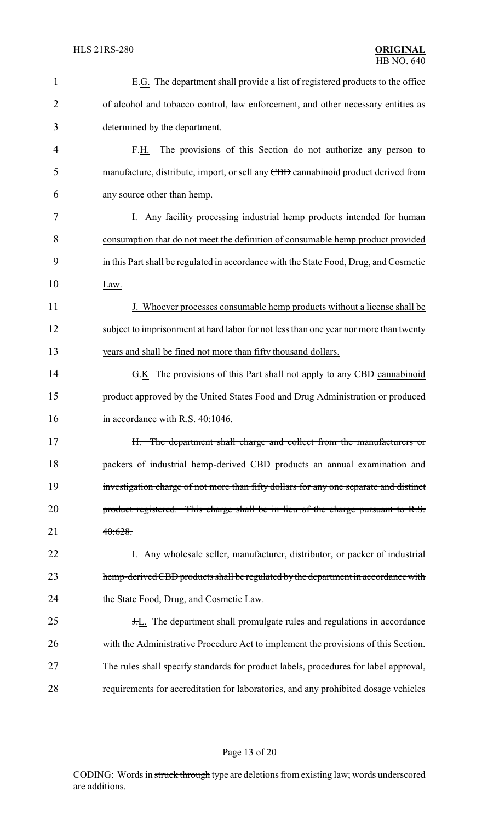| 1              | E.G. The department shall provide a list of registered products to the office         |
|----------------|---------------------------------------------------------------------------------------|
| $\overline{2}$ | of alcohol and tobacco control, law enforcement, and other necessary entities as      |
| 3              | determined by the department.                                                         |
| $\overline{4}$ | The provisions of this Section do not authorize any person to<br><del>F.</del> H.     |
| 5              | manufacture, distribute, import, or sell any CBD cannabinoid product derived from     |
| 6              | any source other than hemp.                                                           |
| 7              | I. Any facility processing industrial hemp products intended for human                |
| 8              | consumption that do not meet the definition of consumable hemp product provided       |
| 9              | in this Part shall be regulated in accordance with the State Food, Drug, and Cosmetic |
| 10             | Law.                                                                                  |
| 11             | J. Whoever processes consumable hemp products without a license shall be              |
| 12             | subject to imprisonment at hard labor for not less than one year nor more than twenty |
| 13             | years and shall be fined not more than fifty thousand dollars.                        |
| 14             | $G-K$ The provisions of this Part shall not apply to any $\overline{CBD}$ cannabinoid |
| 15             | product approved by the United States Food and Drug Administration or produced        |
| 16             | in accordance with R.S. 40:1046.                                                      |
| 17             | H. The department shall charge and collect from the manufacturers or                  |
| 18             | packers of industrial hemp-derived CBD products an annual examination and             |
| 19             | investigation charge of not more than fifty dollars for any one separate and distinct |
| 20             | product registered. This charge shall be in lieu of the charge pursuant to R.S.       |
| 21             | 40:628.                                                                               |
| 22             | <b>H.</b> Any wholesale seller, manufacturer, distributor, or packer of industrial    |
| 23             | hemp-derived CBD products shall be regulated by the department in accordance with     |
| 24             | the State Food, Drug, and Cosmetic Law.                                               |
| 25             | <b>H.L.</b> The department shall promulgate rules and regulations in accordance       |
| 26             | with the Administrative Procedure Act to implement the provisions of this Section.    |
| 27             | The rules shall specify standards for product labels, procedures for label approval,  |
| 28             | requirements for accreditation for laboratories, and any prohibited dosage vehicles   |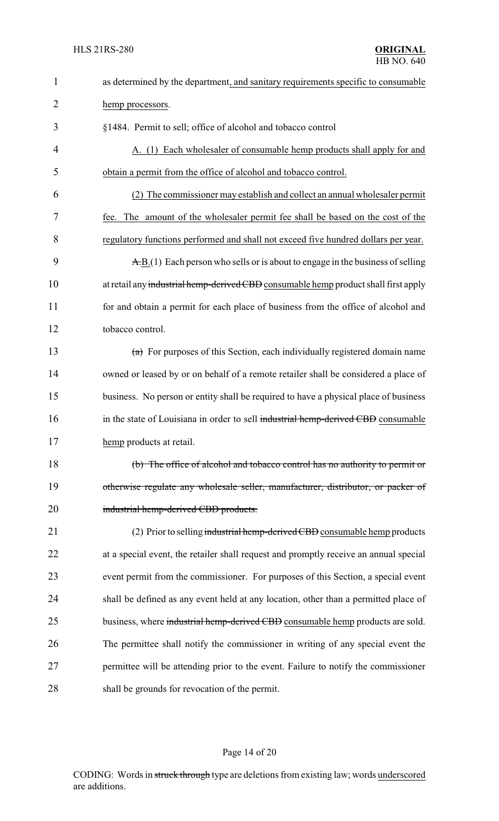| $\mathbf{1}$   | as determined by the department, and sanitary requirements specific to consumable             |  |  |
|----------------|-----------------------------------------------------------------------------------------------|--|--|
| $\overline{2}$ | hemp processors.                                                                              |  |  |
| 3              | §1484. Permit to sell; office of alcohol and tobacco control                                  |  |  |
| 4              | A. (1) Each wholesaler of consumable hemp products shall apply for and                        |  |  |
| 5              | obtain a permit from the office of alcohol and tobacco control.                               |  |  |
| 6              | The commissioner may establish and collect an annual wholesaler permit                        |  |  |
| 7              | fee. The amount of the wholesaler permit fee shall be based on the cost of the                |  |  |
| 8              | regulatory functions performed and shall not exceed five hundred dollars per year.            |  |  |
| 9              | $\overline{A}$ . B.(1) Each person who sells or is about to engage in the business of selling |  |  |
| 10             | at retail any industrial hemp-derived CBD consumable hemp product shall first apply           |  |  |
| 11             | for and obtain a permit for each place of business from the office of alcohol and             |  |  |
| 12             | tobacco control.                                                                              |  |  |
| 13             | $(a)$ For purposes of this Section, each individually registered domain name                  |  |  |
| 14             | owned or leased by or on behalf of a remote retailer shall be considered a place of           |  |  |
| 15             | business. No person or entity shall be required to have a physical place of business          |  |  |
| 16             | in the state of Louisiana in order to sell industrial hemp-derived CBD consumable             |  |  |
| 17             | hemp products at retail.                                                                      |  |  |
| 18             | (b) The office of alcohol and tobacco control has no authority to permit or                   |  |  |
| 19             | otherwise regulate any wholesale seller, manufacturer, distributor, or packer of              |  |  |
| 20             | industrial hemp-derived CBD products.                                                         |  |  |
| 21             | (2) Prior to selling industrial hemp-derived CBD consumable hemp products                     |  |  |
| 22             | at a special event, the retailer shall request and promptly receive an annual special         |  |  |
| 23             | event permit from the commissioner. For purposes of this Section, a special event             |  |  |
| 24             | shall be defined as any event held at any location, other than a permitted place of           |  |  |
| 25             | business, where industrial hemp-derived CBD consumable hemp products are sold.                |  |  |
| 26             | The permittee shall notify the commissioner in writing of any special event the               |  |  |
| 27             | permittee will be attending prior to the event. Failure to notify the commissioner            |  |  |
| 28             | shall be grounds for revocation of the permit.                                                |  |  |

# Page 14 of 20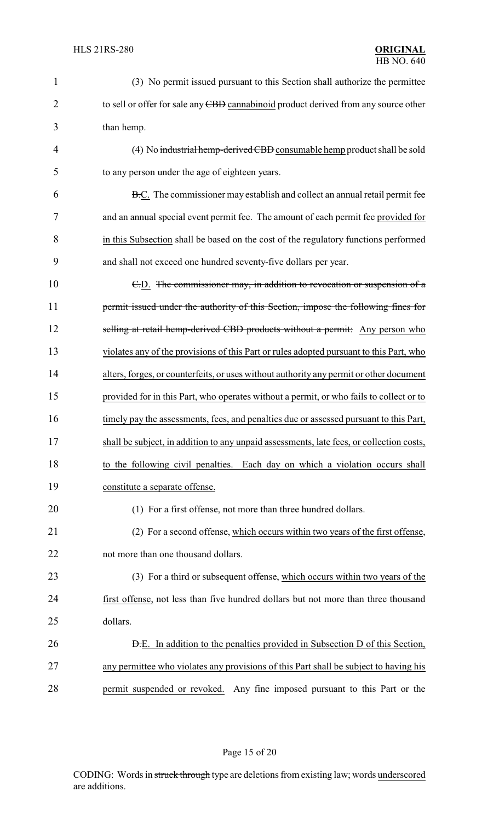| 1              | (3) No permit issued pursuant to this Section shall authorize the permittee              |
|----------------|------------------------------------------------------------------------------------------|
| $\overline{2}$ | to sell or offer for sale any CBD cannabinoid product derived from any source other      |
| 3              | than hemp.                                                                               |
| 4              | (4) No industrial hemp-derived CBD consumable hemp product shall be sold                 |
| 5              | to any person under the age of eighteen years.                                           |
| 6              | B.C. The commissioner may establish and collect an annual retail permit fee              |
| 7              | and an annual special event permit fee. The amount of each permit fee provided for       |
| 8              | in this Subsection shall be based on the cost of the regulatory functions performed      |
| 9              | and shall not exceed one hundred seventy-five dollars per year.                          |
| 10             | E.D. The commissioner may, in addition to revocation or suspension of a                  |
| 11             | permit issued under the authority of this Section, impose the following fines for        |
| 12             | selling at retail hemp-derived CBD products without a permit: Any person who             |
| 13             | violates any of the provisions of this Part or rules adopted pursuant to this Part, who  |
| 14             | alters, forges, or counterfeits, or uses without authority any permit or other document  |
| 15             | provided for in this Part, who operates without a permit, or who fails to collect or to  |
| 16             | timely pay the assessments, fees, and penalties due or assessed pursuant to this Part,   |
| 17             | shall be subject, in addition to any unpaid assessments, late fees, or collection costs, |
| 18             | to the following civil penalties. Each day on which a violation occurs shall             |
| 19             | constitute a separate offense.                                                           |
| 20             | (1) For a first offense, not more than three hundred dollars.                            |
| 21             | (2) For a second offense, which occurs within two years of the first offense,            |
| 22             | not more than one thousand dollars.                                                      |
| 23             | (3) For a third or subsequent offense, which occurs within two years of the              |
| 24             | first offense, not less than five hundred dollars but not more than three thousand       |
| 25             | dollars.                                                                                 |
| 26             | <b>D.E.</b> In addition to the penalties provided in Subsection D of this Section,       |
| 27             | any permittee who violates any provisions of this Part shall be subject to having his    |
| 28             | permit suspended or revoked. Any fine imposed pursuant to this Part or the               |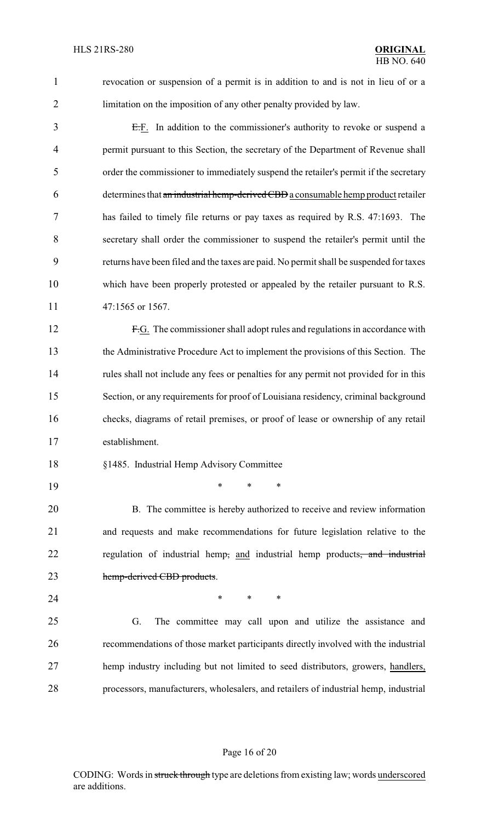revocation or suspension of a permit is in addition to and is not in lieu of or a limitation on the imposition of any other penalty provided by law.

 E.F. In addition to the commissioner's authority to revoke or suspend a permit pursuant to this Section, the secretary of the Department of Revenue shall order the commissioner to immediately suspend the retailer's permit if the secretary determines that an industrial hemp-derived CBD a consumable hemp product retailer has failed to timely file returns or pay taxes as required by R.S. 47:1693. The secretary shall order the commissioner to suspend the retailer's permit until the returns have been filed and the taxes are paid. No permit shall be suspended for taxes which have been properly protested or appealed by the retailer pursuant to R.S. 11 47:1565 or 1567.

 F.G. The commissioner shall adopt rules and regulations in accordance with the Administrative Procedure Act to implement the provisions of this Section. The rules shall not include any fees or penalties for any permit not provided for in this Section, or any requirements for proof of Louisiana residency, criminal background checks, diagrams of retail premises, or proof of lease or ownership of any retail establishment.

- §1485. Industrial Hemp Advisory Committee
- \* \* \*

 B. The committee is hereby authorized to receive and review information and requests and make recommendations for future legislation relative to the 22 regulation of industrial hemp, and industrial hemp products, and industrial 23 hemp-derived CBD products.

**\*** \* \* \*

 G. The committee may call upon and utilize the assistance and recommendations of those market participants directly involved with the industrial hemp industry including but not limited to seed distributors, growers, handlers, processors, manufacturers, wholesalers, and retailers of industrial hemp, industrial

#### Page 16 of 20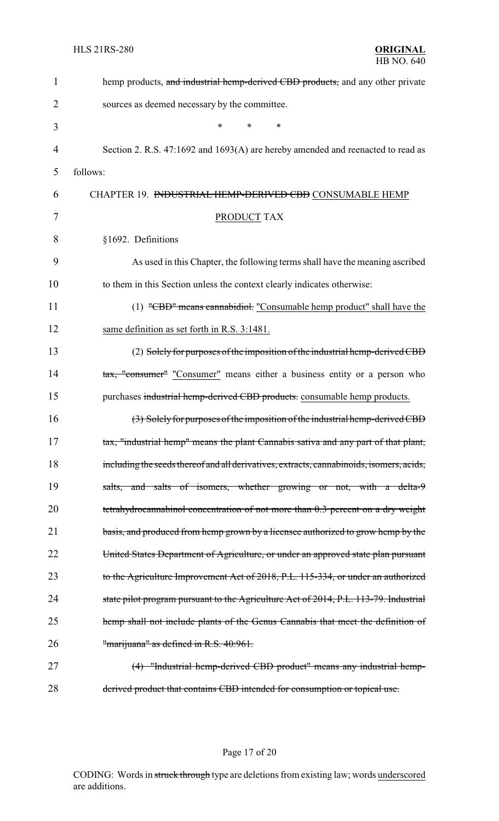| 1  | hemp products, and industrial hemp-derived CBD products, and any other private           |  |  |
|----|------------------------------------------------------------------------------------------|--|--|
| 2  | sources as deemed necessary by the committee.                                            |  |  |
| 3  | ∗<br>*                                                                                   |  |  |
| 4  | Section 2. R.S. 47:1692 and 1693(A) are hereby amended and reenacted to read as          |  |  |
| 5  | follows:                                                                                 |  |  |
| 6  | CHAPTER 19. <del>INDUSTRIAL HEMP-DERIVED CBD</del> CONSUMABLE HEMP                       |  |  |
| 7  | PRODUCT TAX                                                                              |  |  |
| 8  | §1692. Definitions                                                                       |  |  |
| 9  | As used in this Chapter, the following terms shall have the meaning ascribed             |  |  |
| 10 | to them in this Section unless the context clearly indicates otherwise:                  |  |  |
| 11 | (1) "CBD" means cannabidiol: "Consumable hemp product" shall have the                    |  |  |
| 12 | same definition as set forth in R.S. 3:1481.                                             |  |  |
| 13 | (2) Solely for purposes of the imposition of the industrial hemp-derived CBD             |  |  |
| 14 | tax, "consumer" "Consumer" means either a business entity or a person who                |  |  |
| 15 | purchases industrial hemp-derived CBD products. consumable hemp products.                |  |  |
| 16 | (3) Solely for purposes of the imposition of the industrial hemp-derived CBD             |  |  |
| 17 | tax, "industrial hemp" means the plant Cannabis sativa and any part of that plant,       |  |  |
| 18 | including the seeds thereof and all derivatives, extracts, cannabinoids, isomers, acids, |  |  |
| 19 | salts, and salts of isomers, whether growing or not, with a delta-9                      |  |  |
| 20 | tetrahydrocannabinol concentration of not more than 0.3 percent on a dry weight          |  |  |
| 21 | basis, and produced from hemp grown by a licensee authorized to grow hemp by the         |  |  |
| 22 | United States Department of Agriculture, or under an approved state plan pursuant        |  |  |
| 23 | to the Agriculture Improvement Act of 2018, P.L. 115-334, or under an authorized         |  |  |
| 24 | state pilot program pursuant to the Agriculture Act of 2014, P.L. 113-79. Industrial     |  |  |
| 25 | hemp shall not include plants of the Genus Cannabis that meet the definition of          |  |  |
| 26 | "marijuana" as defined in R.S. 40:961.                                                   |  |  |
| 27 | (4) "Industrial hemp-derived CBD product" means any industrial hemp-                     |  |  |
| 28 | derived product that contains CBD intended for consumption or topical use.               |  |  |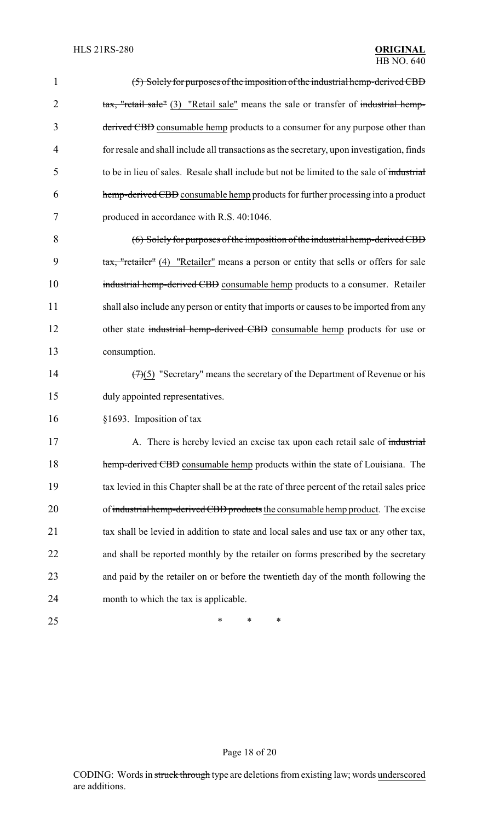| 1              | (5) Solely for purposes of the imposition of the industrial hemp-derived CBD               |
|----------------|--------------------------------------------------------------------------------------------|
| $\overline{2}$ | tax, "retail sale" (3) "Retail sale" means the sale or transfer of industrial hemp-        |
| 3              | derived CBD consumable hemp products to a consumer for any purpose other than              |
| $\overline{4}$ | for resale and shall include all transactions as the secretary, upon investigation, finds  |
| 5              | to be in lieu of sales. Resale shall include but not be limited to the sale of industrial  |
| 6              | hemp-derived CBD consumable hemp products for further processing into a product            |
| 7              | produced in accordance with R.S. 40:1046.                                                  |
| 8              | (6) Solely for purposes of the imposition of the industrial hemp-derived CBD               |
| 9              | tax, "retailer" (4) "Retailer" means a person or entity that sells or offers for sale      |
| 10             | industrial hemp-derived CBD consumable hemp products to a consumer. Retailer               |
| 11             | shall also include any person or entity that imports or causes to be imported from any     |
| 12             | other state industrial hemp-derived CBD consumable hemp products for use or                |
| 13             | consumption.                                                                               |
| 14             | $(7)(5)$ "Secretary" means the secretary of the Department of Revenue or his               |
| 15             | duly appointed representatives.                                                            |
| 16             | §1693. Imposition of tax                                                                   |
| 17             | A. There is hereby levied an excise tax upon each retail sale of industrial                |
| 18             | hemp-derived CBD consumable hemp products within the state of Louisiana. The               |
| 19             | tax levied in this Chapter shall be at the rate of three percent of the retail sales price |
| 20             | of industrial hemp-derived CBD products the consumable hemp product. The excise            |
| 21             | tax shall be levied in addition to state and local sales and use tax or any other tax,     |
| 22             | and shall be reported monthly by the retailer on forms prescribed by the secretary         |
| 23             | and paid by the retailer on or before the twentieth day of the month following the         |
| 24             | month to which the tax is applicable.                                                      |
| 25             | ∗<br>*<br>∗                                                                                |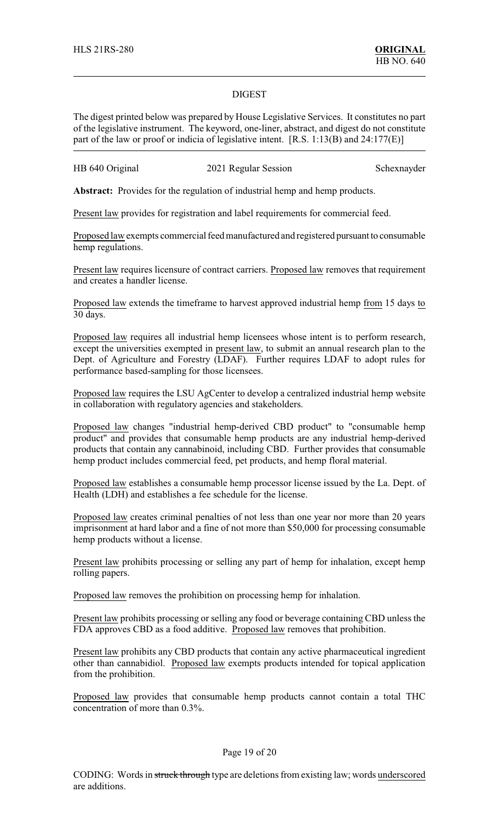#### DIGEST

The digest printed below was prepared by House Legislative Services. It constitutes no part of the legislative instrument. The keyword, one-liner, abstract, and digest do not constitute part of the law or proof or indicia of legislative intent. [R.S. 1:13(B) and 24:177(E)]

| HB 640 Original | 2021 Regular Session | Schexnayder |
|-----------------|----------------------|-------------|
|-----------------|----------------------|-------------|

**Abstract:** Provides for the regulation of industrial hemp and hemp products.

Present law provides for registration and label requirements for commercial feed.

Proposed law exempts commercial feed manufactured and registered pursuant to consumable hemp regulations.

Present law requires licensure of contract carriers. Proposed law removes that requirement and creates a handler license.

Proposed law extends the timeframe to harvest approved industrial hemp from 15 days to 30 days.

Proposed law requires all industrial hemp licensees whose intent is to perform research, except the universities exempted in present law, to submit an annual research plan to the Dept. of Agriculture and Forestry (LDAF). Further requires LDAF to adopt rules for performance based-sampling for those licensees.

Proposed law requires the LSU AgCenter to develop a centralized industrial hemp website in collaboration with regulatory agencies and stakeholders.

Proposed law changes "industrial hemp-derived CBD product" to "consumable hemp product" and provides that consumable hemp products are any industrial hemp-derived products that contain any cannabinoid, including CBD. Further provides that consumable hemp product includes commercial feed, pet products, and hemp floral material.

Proposed law establishes a consumable hemp processor license issued by the La. Dept. of Health (LDH) and establishes a fee schedule for the license.

Proposed law creates criminal penalties of not less than one year nor more than 20 years imprisonment at hard labor and a fine of not more than \$50,000 for processing consumable hemp products without a license.

Present law prohibits processing or selling any part of hemp for inhalation, except hemp rolling papers.

Proposed law removes the prohibition on processing hemp for inhalation.

Present law prohibits processing or selling any food or beverage containing CBD unless the FDA approves CBD as a food additive. Proposed law removes that prohibition.

Present law prohibits any CBD products that contain any active pharmaceutical ingredient other than cannabidiol. Proposed law exempts products intended for topical application from the prohibition.

Proposed law provides that consumable hemp products cannot contain a total THC concentration of more than 0.3%.

#### Page 19 of 20